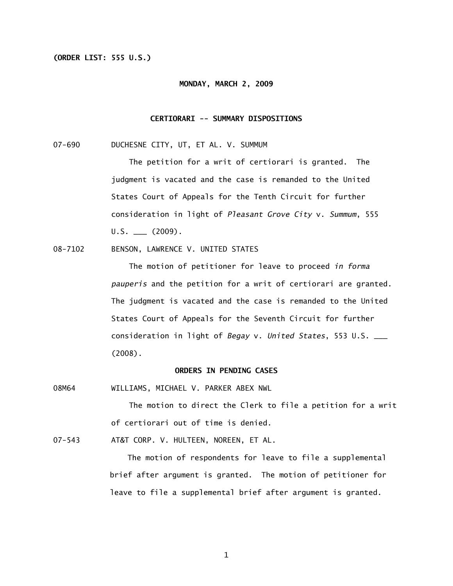# **(ORDER LIST: 555 U.S.)**

#### **MONDAY, MARCH 2, 2009**

# **CERTIORARI -- SUMMARY DISPOSITIONS**

07-690 DUCHESNE CITY, UT, ET AL. V. SUMMUM

 The petition for a writ of certiorari is granted. The judgment is vacated and the case is remanded to the United States Court of Appeals for the Tenth Circuit for further consideration in light of *Pleasant Grove City* v. *Summum*, 555  $U.S.$  (2009).

08-7102 BENSON, LAWRENCE V. UNITED STATES

 The motion of petitioner for leave to proceed *in forma pauperis* and the petition for a writ of certiorari are granted. The judgment is vacated and the case is remanded to the United States Court of Appeals for the Seventh Circuit for further consideration in light of *Begay* v. *United States*, 553 U.S. \_\_\_ (2008).

# **ORDERS IN PENDING CASES**

08M64 WILLIAMS, MICHAEL V. PARKER ABEX NWL

The motion to direct the Clerk to file a petition for a writ of certiorari out of time is denied.

07-543 AT&T CORP. V. HULTEEN, NOREEN, ET AL.

The motion of respondents for leave to file a supplemental brief after argument is granted. The motion of petitioner for leave to file a supplemental brief after argument is granted.

1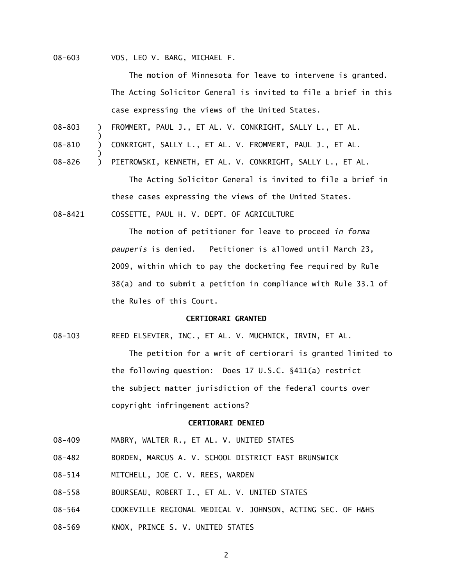08-603 VOS, LEO V. BARG, MICHAEL F.

)

)

The motion of Minnesota for leave to intervene is granted. The Acting Solicitor General is invited to file a brief in this case expressing the views of the United States.

- 08-803 ) FROMMERT, PAUL J., ET AL. V. CONKRIGHT, SALLY L., ET AL.
- 08-810 ) CONKRIGHT, SALLY L., ET AL. V. FROMMERT, PAUL J., ET AL.
- 08-826 ) PIETROWSKI, KENNETH, ET AL. V. CONKRIGHT, SALLY L., ET AL.

 The Acting Solicitor General is invited to file a brief in these cases expressing the views of the United States.

08-8421 COSSETTE, PAUL H. V. DEPT. OF AGRICULTURE

 The motion of petitioner for leave to proceed *in forma pauperis* is denied. Petitioner is allowed until March 23, 2009, within which to pay the docketing fee required by Rule 38(a) and to submit a petition in compliance with Rule 33.1 of the Rules of this Court.

### **CERTIORARI GRANTED**

08-103 REED ELSEVIER, INC., ET AL. V. MUCHNICK, IRVIN, ET AL. The petition for a writ of certiorari is granted limited to the following question: Does 17 U.S.C. §411(a) restrict the subject matter jurisdiction of the federal courts over copyright infringement actions?

## **CERTIORARI DENIED**

- 08-409 MABRY, WALTER R., ET AL. V. UNITED STATES
- 08-482 BORDEN, MARCUS A. V. SCHOOL DISTRICT EAST BRUNSWICK
- 08-514 MITCHELL, JOE C. V. REES, WARDEN
- 08-558 BOURSEAU, ROBERT I., ET AL. V. UNITED STATES
- 08-564 COOKEVILLE REGIONAL MEDICAL V. JOHNSON, ACTING SEC. OF H&HS
- 08-569 KNOX, PRINCE S. V. UNITED STATES

2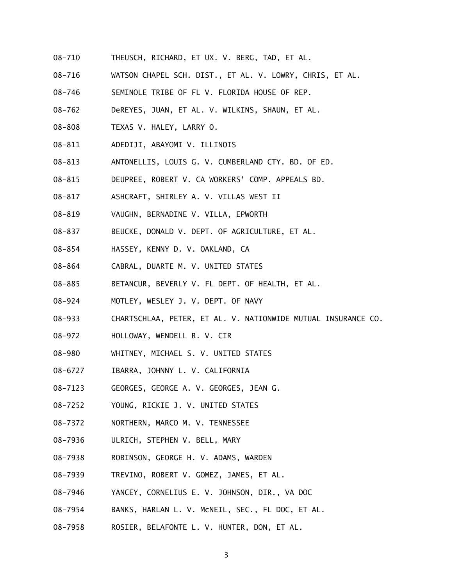- 08-710 THEUSCH, RICHARD, ET UX. V. BERG, TAD, ET AL.
- 08-716 WATSON CHAPEL SCH. DIST., ET AL. V. LOWRY, CHRIS, ET AL.
- 08-746 SEMINOLE TRIBE OF FL V. FLORIDA HOUSE OF REP.
- 08-762 DeREYES, JUAN, ET AL. V. WILKINS, SHAUN, ET AL.
- 08-808 TEXAS V. HALEY, LARRY O.
- 08-811 ADEDIJI, ABAYOMI V. ILLINOIS
- 08-813 ANTONELLIS, LOUIS G. V. CUMBERLAND CTY. BD. OF ED.
- 08-815 DEUPREE, ROBERT V. CA WORKERS' COMP. APPEALS BD.
- 08-817 ASHCRAFT, SHIRLEY A. V. VILLAS WEST II
- 08-819 VAUGHN, BERNADINE V. VILLA, EPWORTH
- 08-837 BEUCKE, DONALD V. DEPT. OF AGRICULTURE, ET AL.
- 08-854 HASSEY, KENNY D. V. OAKLAND, CA
- 08-864 CABRAL, DUARTE M. V. UNITED STATES
- 08-885 BETANCUR, BEVERLY V. FL DEPT. OF HEALTH, ET AL.
- 08-924 MOTLEY, WESLEY J. V. DEPT. OF NAVY
- 08-933 CHARTSCHLAA, PETER, ET AL. V. NATIONWIDE MUTUAL INSURANCE CO.
- 08-972 HOLLOWAY, WENDELL R. V. CIR
- 08-980 WHITNEY, MICHAEL S. V. UNITED STATES
- 08-6727 IBARRA, JOHNNY L. V. CALIFORNIA
- 08-7123 GEORGES, GEORGE A. V. GEORGES, JEAN G.
- 08-7252 YOUNG, RICKIE J. V. UNITED STATES
- 08-7372 NORTHERN, MARCO M. V. TENNESSEE
- 08-7936 ULRICH, STEPHEN V. BELL, MARY
- 08-7938 ROBINSON, GEORGE H. V. ADAMS, WARDEN
- 08-7939 TREVINO, ROBERT V. GOMEZ, JAMES, ET AL.
- 08-7946 YANCEY, CORNELIUS E. V. JOHNSON, DIR., VA DOC
- 08-7954 BANKS, HARLAN L. V. McNEIL, SEC., FL DOC, ET AL.
- 08-7958 ROSIER, BELAFONTE L. V. HUNTER, DON, ET AL.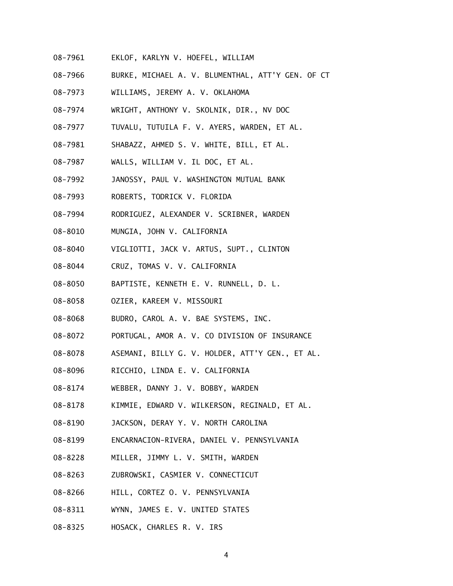- 08-7961 EKLOF, KARLYN V. HOEFEL, WILLIAM
- 08-7966 BURKE, MICHAEL A. V. BLUMENTHAL, ATT'Y GEN. OF CT
- 08-7973 WILLIAMS, JEREMY A. V. OKLAHOMA
- 08-7974 WRIGHT, ANTHONY V. SKOLNIK, DIR., NV DOC
- 08-7977 TUVALU, TUTUILA F. V. AYERS, WARDEN, ET AL.
- 08-7981 SHABAZZ, AHMED S. V. WHITE, BILL, ET AL.
- 08-7987 WALLS, WILLIAM V. IL DOC, ET AL.
- 08-7992 JANOSSY, PAUL V. WASHINGTON MUTUAL BANK
- 08-7993 ROBERTS, TODRICK V. FLORIDA
- 08-7994 RODRIGUEZ, ALEXANDER V. SCRIBNER, WARDEN
- 08-8010 MUNGIA, JOHN V. CALIFORNIA
- 08-8040 VIGLIOTTI, JACK V. ARTUS, SUPT., CLINTON
- 08-8044 CRUZ, TOMAS V. V. CALIFORNIA
- 08-8050 BAPTISTE, KENNETH E. V. RUNNELL, D. L.
- 08-8058 OZIER, KAREEM V. MISSOURI
- 08-8068 BUDRO, CAROL A. V. BAE SYSTEMS, INC.
- 08-8072 PORTUGAL, AMOR A. V. CO DIVISION OF INSURANCE
- 08-8078 ASEMANI, BILLY G. V. HOLDER, ATT'Y GEN., ET AL.
- 08-8096 RICCHIO, LINDA E. V. CALIFORNIA
- 08-8174 WEBBER, DANNY J. V. BOBBY, WARDEN
- 08-8178 KIMMIE, EDWARD V. WILKERSON, REGINALD, ET AL.
- 08-8190 JACKSON, DERAY Y. V. NORTH CAROLINA
- 08-8199 ENCARNACION-RIVERA, DANIEL V. PENNSYLVANIA
- 08-8228 MILLER, JIMMY L. V. SMITH, WARDEN
- 08-8263 ZUBROWSKI, CASMIER V. CONNECTICUT
- 08-8266 HILL, CORTEZ O. V. PENNSYLVANIA
- 08-8311 WYNN, JAMES E. V. UNITED STATES
- 08-8325 HOSACK, CHARLES R. V. IRS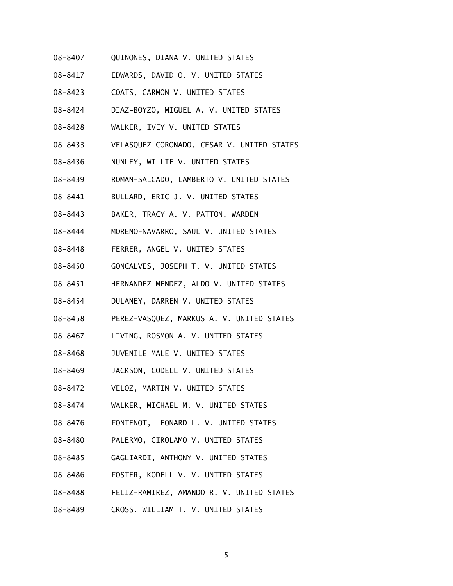- 08-8407 QUINONES, DIANA V. UNITED STATES
- 08-8417 EDWARDS, DAVID O. V. UNITED STATES
- 08-8423 COATS, GARMON V. UNITED STATES
- 08-8424 DIAZ-BOYZO, MIGUEL A. V. UNITED STATES
- 08-8428 WALKER, IVEY V. UNITED STATES
- 08-8433 VELASQUEZ-CORONADO, CESAR V. UNITED STATES
- 08-8436 NUNLEY, WILLIE V. UNITED STATES
- 08-8439 ROMAN-SALGADO, LAMBERTO V. UNITED STATES
- 08-8441 BULLARD, ERIC J. V. UNITED STATES
- 08-8443 BAKER, TRACY A. V. PATTON, WARDEN
- 08-8444 MORENO-NAVARRO, SAUL V. UNITED STATES
- 08-8448 FERRER, ANGEL V. UNITED STATES
- 08-8450 GONCALVES, JOSEPH T. V. UNITED STATES
- 08-8451 HERNANDEZ-MENDEZ, ALDO V. UNITED STATES
- 08-8454 DULANEY, DARREN V. UNITED STATES
- 08-8458 PEREZ-VASQUEZ, MARKUS A. V. UNITED STATES
- 08-8467 LIVING, ROSMON A. V. UNITED STATES
- 08-8468 JUVENILE MALE V. UNITED STATES
- 08-8469 JACKSON, CODELL V. UNITED STATES
- 08-8472 VELOZ, MARTIN V. UNITED STATES
- 08-8474 WALKER, MICHAEL M. V. UNITED STATES
- 08-8476 FONTENOT, LEONARD L. V. UNITED STATES
- 08-8480 PALERMO, GIROLAMO V. UNITED STATES
- 08-8485 GAGLIARDI, ANTHONY V. UNITED STATES
- 08-8486 FOSTER, KODELL V. V. UNITED STATES
- 08-8488 FELIZ-RAMIREZ, AMANDO R. V. UNITED STATES
- 08-8489 CROSS, WILLIAM T. V. UNITED STATES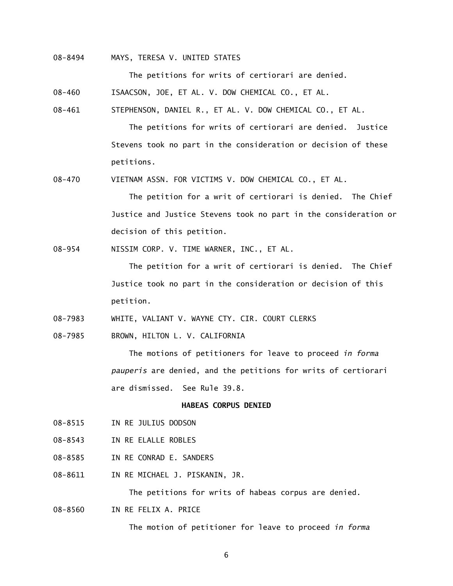# 08-8494 MAYS, TERESA V. UNITED STATES

The petitions for writs of certiorari are denied.

08-460 ISAACSON, JOE, ET AL. V. DOW CHEMICAL CO., ET AL.

08-461 STEPHENSON, DANIEL R., ET AL. V. DOW CHEMICAL CO., ET AL.

 The petitions for writs of certiorari are denied. Justice Stevens took no part in the consideration or decision of these petitions.

08-470 VIETNAM ASSN. FOR VICTIMS V. DOW CHEMICAL CO., ET AL.

 The petition for a writ of certiorari is denied. The Chief Justice and Justice Stevens took no part in the consideration or decision of this petition.

08-954 NISSIM CORP. V. TIME WARNER, INC., ET AL.

 The petition for a writ of certiorari is denied. The Chief Justice took no part in the consideration or decision of this petition.

08-7983 WHITE, VALIANT V. WAYNE CTY. CIR. COURT CLERKS

08-7985 BROWN, HILTON L. V. CALIFORNIA

 The motions of petitioners for leave to proceed *in forma pauperis* are denied, and the petitions for writs of certiorari are dismissed. See Rule 39.8.

# **HABEAS CORPUS DENIED**

- 08-8515 IN RE JULIUS DODSON
- 08-8543 IN RE ELALLE ROBLES
- 08-8585 IN RE CONRAD E. SANDERS
- 08-8611 IN RE MICHAEL J. PISKANIN, JR.

The petitions for writs of habeas corpus are denied.

08-8560 IN RE FELIX A. PRICE

The motion of petitioner for leave to proceed *in forma* 

6